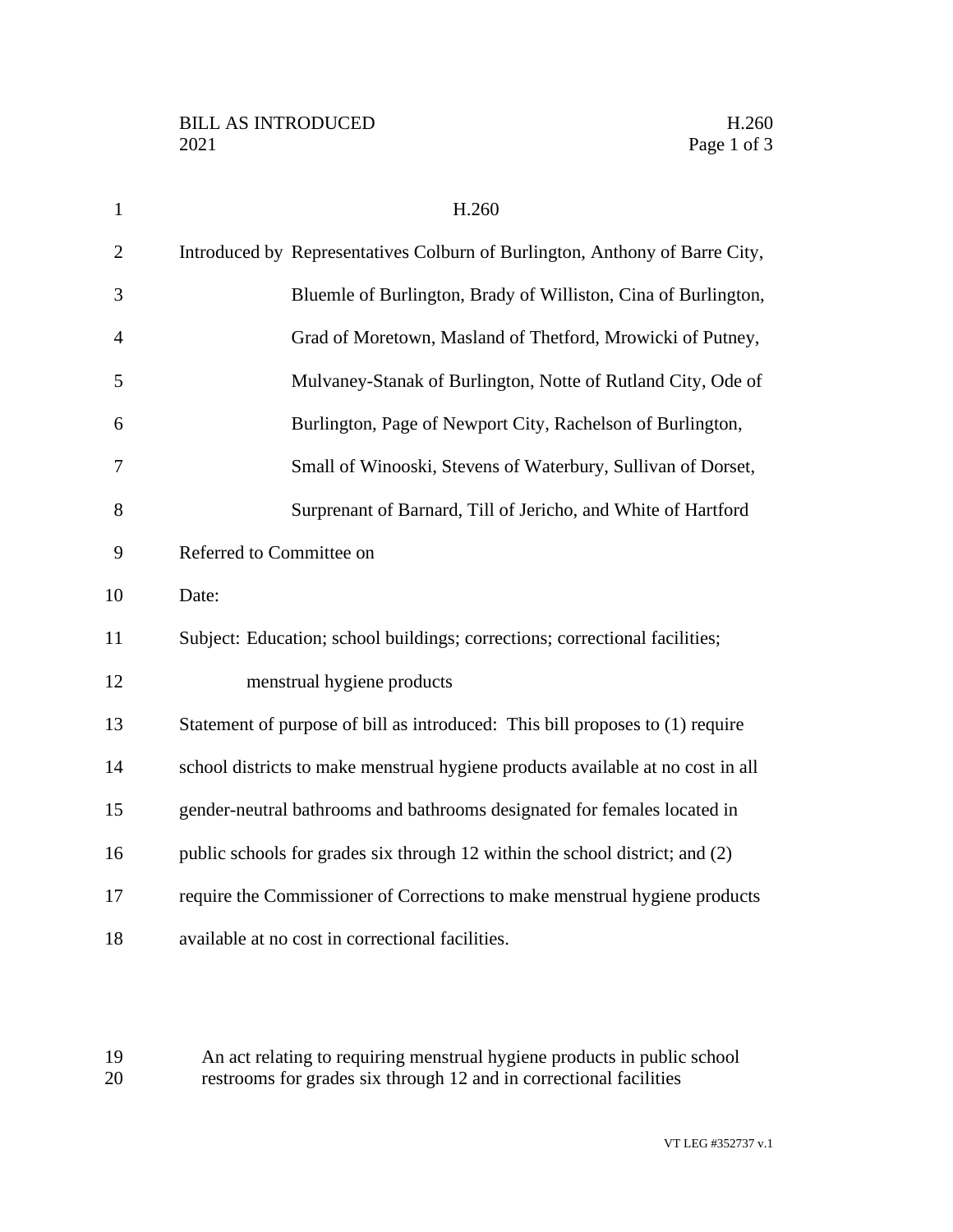| $\mathbf{1}$   | H.260                                                                           |
|----------------|---------------------------------------------------------------------------------|
| $\overline{2}$ | Introduced by Representatives Colburn of Burlington, Anthony of Barre City,     |
| 3              | Bluemle of Burlington, Brady of Williston, Cina of Burlington,                  |
| $\overline{4}$ | Grad of Moretown, Masland of Thetford, Mrowicki of Putney,                      |
| 5              | Mulvaney-Stanak of Burlington, Notte of Rutland City, Ode of                    |
| 6              | Burlington, Page of Newport City, Rachelson of Burlington,                      |
| 7              | Small of Winooski, Stevens of Waterbury, Sullivan of Dorset,                    |
| 8              | Surprenant of Barnard, Till of Jericho, and White of Hartford                   |
| 9              | Referred to Committee on                                                        |
| 10             | Date:                                                                           |
| 11             | Subject: Education; school buildings; corrections; correctional facilities;     |
| 12             | menstrual hygiene products                                                      |
| 13             | Statement of purpose of bill as introduced: This bill proposes to (1) require   |
| 14             | school districts to make menstrual hygiene products available at no cost in all |
| 15             | gender-neutral bathrooms and bathrooms designated for females located in        |
| 16             | public schools for grades six through 12 within the school district; and (2)    |
| 17             | require the Commissioner of Corrections to make menstrual hygiene products      |
| 18             | available at no cost in correctional facilities.                                |

 An act relating to requiring menstrual hygiene products in public school restrooms for grades six through 12 and in correctional facilities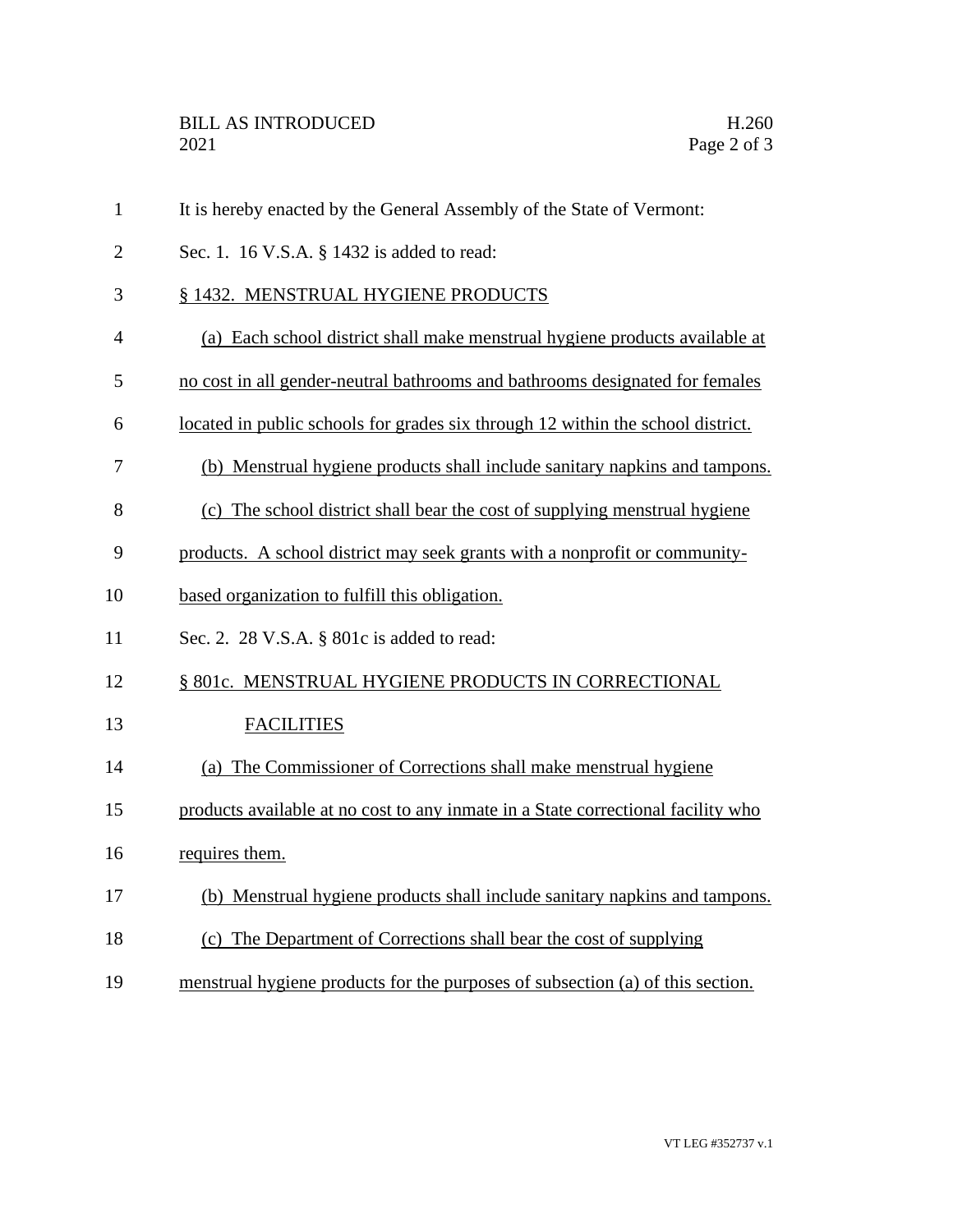| $\mathbf{1}$   | It is hereby enacted by the General Assembly of the State of Vermont:            |
|----------------|----------------------------------------------------------------------------------|
| $\overline{2}$ | Sec. 1. 16 V.S.A. § 1432 is added to read:                                       |
| 3              | § 1432. MENSTRUAL HYGIENE PRODUCTS                                               |
| $\overline{4}$ | (a) Each school district shall make menstrual hygiene products available at      |
| 5              | no cost in all gender-neutral bathrooms and bathrooms designated for females     |
| 6              | located in public schools for grades six through 12 within the school district.  |
| 7              | (b) Menstrual hygiene products shall include sanitary napkins and tampons.       |
| 8              | (c) The school district shall bear the cost of supplying menstrual hygiene       |
| 9              | products. A school district may seek grants with a nonprofit or community-       |
| 10             | based organization to fulfill this obligation.                                   |
| 11             | Sec. 2. 28 V.S.A. § 801c is added to read:                                       |
| 12             | § 801c. MENSTRUAL HYGIENE PRODUCTS IN CORRECTIONAL                               |
| 13             | <b>FACILITIES</b>                                                                |
| 14             | (a) The Commissioner of Corrections shall make menstrual hygiene                 |
| 15             | products available at no cost to any inmate in a State correctional facility who |
| 16             | requires them.                                                                   |
| 17             | (b) Menstrual hygiene products shall include sanitary napkins and tampons.       |
| 18             | (c) The Department of Corrections shall bear the cost of supplying               |
| 19             | menstrual hygiene products for the purposes of subsection (a) of this section.   |